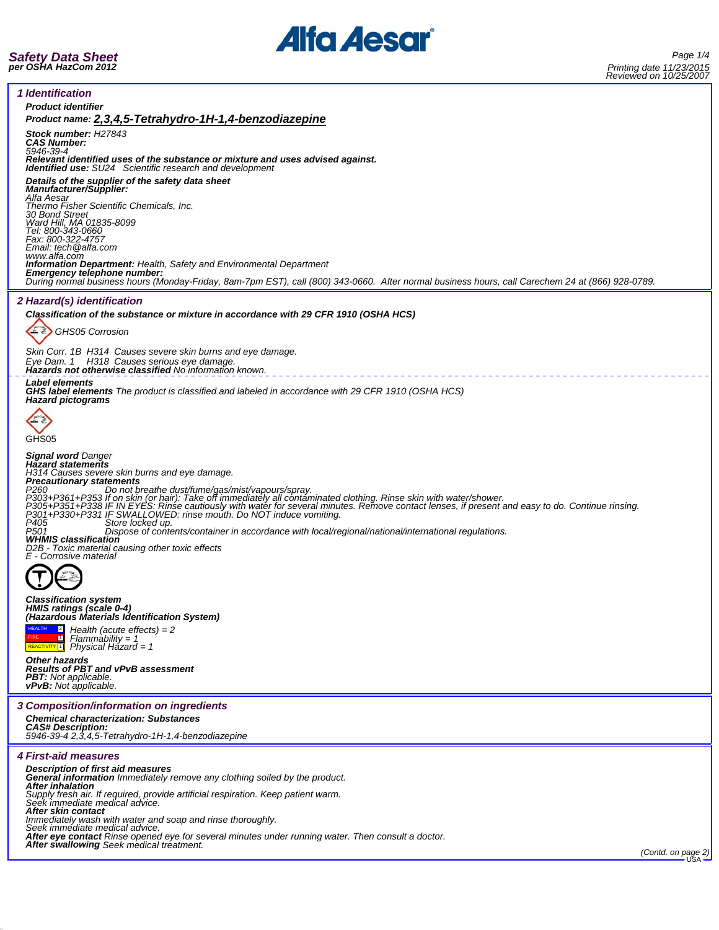

| <i><b>1 Identification</b></i>                                                                                                                                                                                                                                                                                                                          |  |  |
|---------------------------------------------------------------------------------------------------------------------------------------------------------------------------------------------------------------------------------------------------------------------------------------------------------------------------------------------------------|--|--|
| <b>Product identifier</b>                                                                                                                                                                                                                                                                                                                               |  |  |
| Product name: 2,3,4,5-Tetrahydro-1H-1,4-benzodiazepine                                                                                                                                                                                                                                                                                                  |  |  |
| Stock number: H27843<br><b>CAS Number:</b><br>5946-39-4<br>Relevant identified uses of the substance or mixture and uses advised against.<br>Identified use: SU24 Scientific research and development                                                                                                                                                   |  |  |
| Details of the supplier of the safety data sheet<br><b>Manufacturer/Supplier:</b><br>Alfa Aesar<br>Alfa Aesar<br>Thermo Fisher Scientific Chemicals, Inc.                                                                                                                                                                                               |  |  |
| 30 Bond Street<br>Ward Hill, MA 01835-8099<br>Tel: 800-343-0660<br>Fax: 800-322-4757<br>Email: tech @alfa.com                                                                                                                                                                                                                                           |  |  |
| www.alfa.com<br>Information Department: Health, Safety and Environmental Department<br><b>Emergency telephone number:</b><br>During normal business hours (Monday-Friday, 8am-7pm EST), call (800) 343-0660. After normal business hours, call Carechem 24 at (866) 928-0789.                                                                           |  |  |
|                                                                                                                                                                                                                                                                                                                                                         |  |  |
| 2 Hazard(s) identification                                                                                                                                                                                                                                                                                                                              |  |  |
| Classification of the substance or mixture in accordance with 29 CFR 1910 (OSHA HCS)                                                                                                                                                                                                                                                                    |  |  |
| GHS05 Corrosion                                                                                                                                                                                                                                                                                                                                         |  |  |
| Skin Corr. 1B H314 Causes severe skin burns and eye damage.                                                                                                                                                                                                                                                                                             |  |  |
| Eye Dam. 1 H318 Causes serious eye damage.<br><b>Hazards not otherwise classified</b> No information known.                                                                                                                                                                                                                                             |  |  |
|                                                                                                                                                                                                                                                                                                                                                         |  |  |
| <i><b>Label elements</b></i><br>GHS label elements The product is classified and labeled in accordance with 29 CFR 1910 (OSHA HCS)<br><b>Hazard pictograms</b>                                                                                                                                                                                          |  |  |
|                                                                                                                                                                                                                                                                                                                                                         |  |  |
| GHS05                                                                                                                                                                                                                                                                                                                                                   |  |  |
| <b>Signal word Danger</b>                                                                                                                                                                                                                                                                                                                               |  |  |
| <b>Hazard statements</b><br>H314 Causes severe skin burns and eye damage.<br><b>Precautionary statements</b><br>17260<br>P260<br>P303+P361+P353 If on skin (or hair): Take off immediately all contaminated clothing. Rinse skin with water/shower.<br>P305+P351+P338 IF IN EYES: Rinse cautiously with water for several minutes. Remove contact lense |  |  |
| P405<br>Store locked up.<br>P501<br>Dispose of contents/container in accordance with local/regional/national/international regulations.<br><i><b>WHMIS classification</b></i><br>D2B - Toxic material causing other toxic effects<br>E - Corrosive material                                                                                             |  |  |
|                                                                                                                                                                                                                                                                                                                                                         |  |  |
| <b>Classification system</b><br>HMIS ratings (scale 0-4)<br>(Hazardous Materials Identification System)                                                                                                                                                                                                                                                 |  |  |
| <b>HEALTH</b><br><sup>2</sup> Health (acute effects) = 2<br><b>1</b> Elammability = 1<br>Physical Hazard = 1<br>REACTIVITY <sup>[1]</sup>                                                                                                                                                                                                               |  |  |
| <b>Other hazards</b><br>Results of PBT and vPvB assessment<br><b>PBT:</b> Not applicable.<br><b>vPvB:</b> Not applicable.                                                                                                                                                                                                                               |  |  |
| 3 Composition/information on ingredients                                                                                                                                                                                                                                                                                                                |  |  |
| <b>Chemical characterization: Substances</b>                                                                                                                                                                                                                                                                                                            |  |  |
| <b>CAS# Description:</b><br>5946-39-4 2, 3, 4, 5- Tetrahydro-1H-1, 4-benzodiazepine                                                                                                                                                                                                                                                                     |  |  |
| <b>4 First-aid measures</b>                                                                                                                                                                                                                                                                                                                             |  |  |
| Description of first aid measures<br><b>General information</b> Immediately remove any clothing soiled by the product.                                                                                                                                                                                                                                  |  |  |
| After inhalation                                                                                                                                                                                                                                                                                                                                        |  |  |
| Supply fresh air. If required, provide artificial respiration. Keep patient warm.<br>Seek immediate medical advice.                                                                                                                                                                                                                                     |  |  |
| After skin contact<br>Immediately wash with water and soap and rinse thoroughly.                                                                                                                                                                                                                                                                        |  |  |
| Seek immédiate medical advice.<br>After eye contact Rinse opened eye for several minutes under running water. Then consult a doctor.                                                                                                                                                                                                                    |  |  |
| After swallowing Seek medical treatment.                                                                                                                                                                                                                                                                                                                |  |  |
| (Contd. on page 2)                                                                                                                                                                                                                                                                                                                                      |  |  |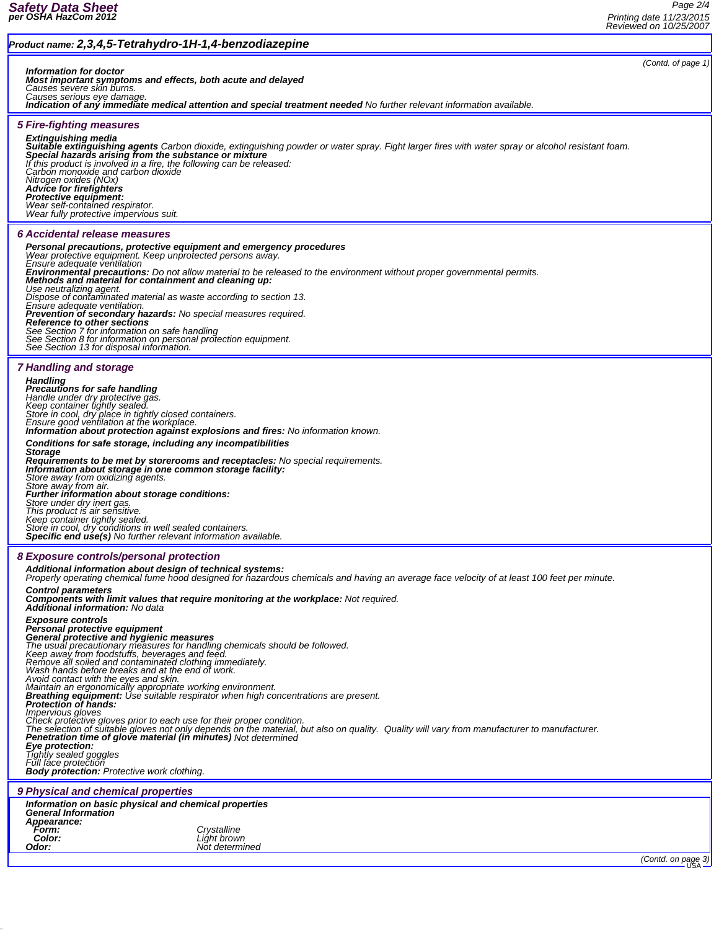*(Contd. of page 1)*

### *Product name: 2,3,4,5-Tetrahydro-1H-1,4-benzodiazepine*

*Information for doctor Most important symptoms and effects, both acute and delayed Causes severe skin burns. Causes serious eye damage. Indication of any immediate medical attention and special treatment needed No further relevant information available.*

### *5 Fire-fighting measures*

**Extinguishing media**<br>**Suitable extinguishing agents** Carbon dioxide, extinguishing powder or water spray. Fight larger fires with water spray or alcohol resistant foam.<br>**Special hazards arising from the substance or mixtu** *If this product is involved in a fire, the following can be released: Carbon monoxide and carbon dioxide Nitrogen oxides (NOx) Advice for firefighters Protective equipment: Wear self-contained respirator.*

*Wear fully protective impervious suit.*

### *6 Accidental release measures*

*Personal precautions, protective equipment and emergency procedures Wear protective equipment. Keep unprotected persons away. Ensure adequate ventilation Environmental precautions: Do not allow material to be released to the environment without proper governmental permits. Methods and material for containment and cleaning up: Use neutralizing agent. Dispose of contaminated material as waste according to section 13. Ensure adequate ventilation.* **Prevention of secondary hazards:** No special measures required.<br>**Reference to other sections**<br>See Section 7 for information on safe handling<br>See Section 8 for information on personal protection equipment.<br>See Section 13 f *7 Handling and storage*

### *Handling*

**Precautions for safe handling**<br>Handle under dry protective gas.<br>Keep container tightly sealed.<br>Store in cool, dry place in tightly closed containers.<br>Ensure good ventilation at the workplace.<br>**Information about protection** 

## *Conditions for safe storage, including any incompatibilities Storage*

*Requirements to be met by storerooms and receptacles: No special requirements. Information about storage in one common storage facility: Store away from oxidizing agents. Store away from air. Further information about storage conditions: Store under dry inert gas. This product is air sensitive. Keep container tightly sealed. Store in cool, dry conditions in well sealed containers. Specific end use(s) No further relevant information available.*

*8 Exposure controls/personal protection Additional information about design of technical systems: Properly operating chemical fume hood designed for hazardous chemicals and having an average face velocity of at least 100 feet per minute. Control parameters Components with limit values that require monitoring at the workplace: Not required. Additional information: No data Exposure controls* **Personal protective equipment<br><b>General protective and hygienic measures**<br>The usual precautionary measures for handling chemicals should be followed.<br>Keep away from foodstuffs, beverages and feed. *Remove all soiled and contaminated clothing immediately. Wash hands before breaks and at the end of work.* Avoid contact with the eyes and skin.<br>Maintain an ergonomically appropriate working environment.<br>**Breathing equipment:** Use suitable respirator when high concentrations are present.<br>**Protection of hands:** *Impervious gloves* Check protective gloves prior to each use for their proper condition.<br>The selection of suitable gloves not only depends on the material, but also on quality. Quality will vary from manufacturer to manufacturer.<br>**Penetratio** *Eye protection: Tightly sealed goggles Full face protection Body protection: Protective work clothing. 9 Physical and chemical properties Information on basic physical and chemical properties General Information Appearance: Form: Crystalline Color: Light brown Odor: Not determined*

*(Contd. on page 3)*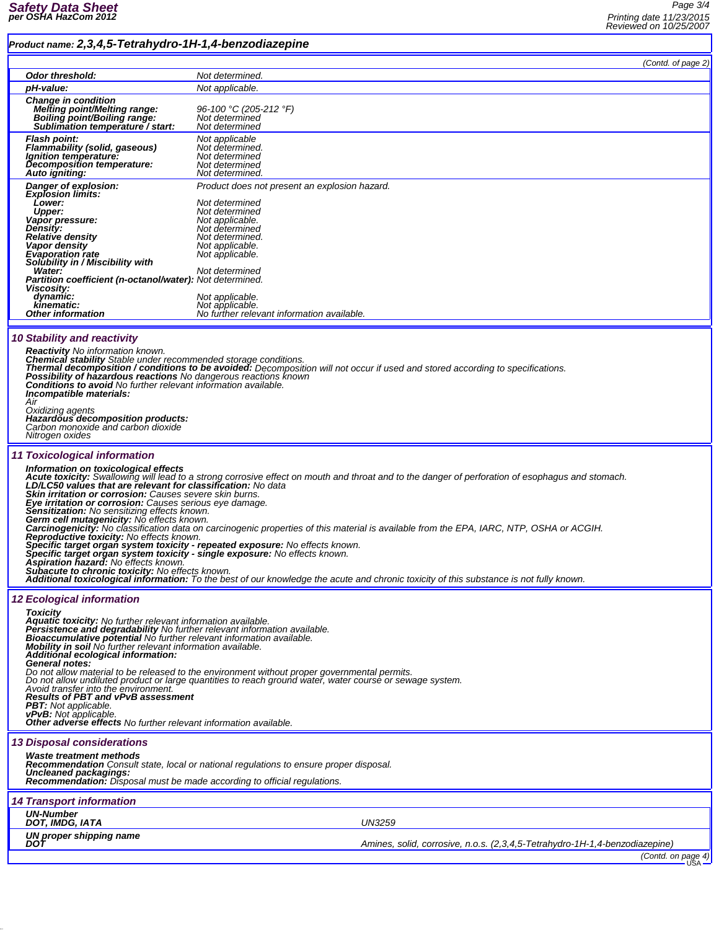## *Product name: 2,3,4,5-Tetrahydro-1H-1,4-benzodiazepine*

*Page 3/4 Printing date 11/23/2015 Reviewed on 10/25/2007*

| Product name: 2,3,4,5-Tetrahydro-1H-1,4-benzodiazepine |                                                                                                                                                                                                                                                                                                                                                                                                                                                                                                                                                                                                                                                                                                                                                                                                                                                                                                                                                                                                                                                                                                                                            |                                                                                   |  |  |  |
|--------------------------------------------------------|--------------------------------------------------------------------------------------------------------------------------------------------------------------------------------------------------------------------------------------------------------------------------------------------------------------------------------------------------------------------------------------------------------------------------------------------------------------------------------------------------------------------------------------------------------------------------------------------------------------------------------------------------------------------------------------------------------------------------------------------------------------------------------------------------------------------------------------------------------------------------------------------------------------------------------------------------------------------------------------------------------------------------------------------------------------------------------------------------------------------------------------------|-----------------------------------------------------------------------------------|--|--|--|
|                                                        | (Contd. of page 2)                                                                                                                                                                                                                                                                                                                                                                                                                                                                                                                                                                                                                                                                                                                                                                                                                                                                                                                                                                                                                                                                                                                         |                                                                                   |  |  |  |
|                                                        | <b>Odor threshold:</b>                                                                                                                                                                                                                                                                                                                                                                                                                                                                                                                                                                                                                                                                                                                                                                                                                                                                                                                                                                                                                                                                                                                     | Not determined.                                                                   |  |  |  |
|                                                        | pH-value:                                                                                                                                                                                                                                                                                                                                                                                                                                                                                                                                                                                                                                                                                                                                                                                                                                                                                                                                                                                                                                                                                                                                  | Not applicable.                                                                   |  |  |  |
|                                                        | <b>Change in condition</b><br><b>Melting point/Melting range:</b><br>Boiling point/Boiling range:<br>Sublimation temperature / start:                                                                                                                                                                                                                                                                                                                                                                                                                                                                                                                                                                                                                                                                                                                                                                                                                                                                                                                                                                                                      | 96-100 °C (205-212 °F)<br>Not determined<br>Not determined                        |  |  |  |
|                                                        | <b>Flash point:</b><br>Flammability (solid, gaseous)<br>Ignition temperature:<br>Decomposition temperature:                                                                                                                                                                                                                                                                                                                                                                                                                                                                                                                                                                                                                                                                                                                                                                                                                                                                                                                                                                                                                                | Not applicable<br>Not determined.<br>Not determined<br>Not determined             |  |  |  |
|                                                        | Auto igniting:                                                                                                                                                                                                                                                                                                                                                                                                                                                                                                                                                                                                                                                                                                                                                                                                                                                                                                                                                                                                                                                                                                                             | Not determined.                                                                   |  |  |  |
|                                                        | Danger of explosion:<br><b>Explosion limits:</b><br>Lower:<br><b>Upper:</b>                                                                                                                                                                                                                                                                                                                                                                                                                                                                                                                                                                                                                                                                                                                                                                                                                                                                                                                                                                                                                                                                | Product does not present an explosion hazard.<br>Not determined<br>Not determined |  |  |  |
|                                                        | Vapor pressure:                                                                                                                                                                                                                                                                                                                                                                                                                                                                                                                                                                                                                                                                                                                                                                                                                                                                                                                                                                                                                                                                                                                            | Not applicable.                                                                   |  |  |  |
|                                                        | <b>Density:</b><br><b>Relative density</b>                                                                                                                                                                                                                                                                                                                                                                                                                                                                                                                                                                                                                                                                                                                                                                                                                                                                                                                                                                                                                                                                                                 | Not determined<br>Not determined.                                                 |  |  |  |
|                                                        | <b>Vapor density</b>                                                                                                                                                                                                                                                                                                                                                                                                                                                                                                                                                                                                                                                                                                                                                                                                                                                                                                                                                                                                                                                                                                                       | Not applicable.                                                                   |  |  |  |
|                                                        | <b>Evaporation rate</b><br>Solubility in / Miscibility with                                                                                                                                                                                                                                                                                                                                                                                                                                                                                                                                                                                                                                                                                                                                                                                                                                                                                                                                                                                                                                                                                | Not applicable.                                                                   |  |  |  |
|                                                        | Water:                                                                                                                                                                                                                                                                                                                                                                                                                                                                                                                                                                                                                                                                                                                                                                                                                                                                                                                                                                                                                                                                                                                                     | Not determined                                                                    |  |  |  |
|                                                        | Partition coefficient (n-octanol/water): Not determined.                                                                                                                                                                                                                                                                                                                                                                                                                                                                                                                                                                                                                                                                                                                                                                                                                                                                                                                                                                                                                                                                                   |                                                                                   |  |  |  |
|                                                        | <b>Viscosity:</b><br>dynamic:                                                                                                                                                                                                                                                                                                                                                                                                                                                                                                                                                                                                                                                                                                                                                                                                                                                                                                                                                                                                                                                                                                              | Not applicable.                                                                   |  |  |  |
|                                                        | kinematic:                                                                                                                                                                                                                                                                                                                                                                                                                                                                                                                                                                                                                                                                                                                                                                                                                                                                                                                                                                                                                                                                                                                                 | Not applicable.                                                                   |  |  |  |
|                                                        | <b>Other information</b>                                                                                                                                                                                                                                                                                                                                                                                                                                                                                                                                                                                                                                                                                                                                                                                                                                                                                                                                                                                                                                                                                                                   | No further relevant information available.                                        |  |  |  |
|                                                        | <b>10 Stability and reactivity</b><br><b>Reactivity</b> No information known.                                                                                                                                                                                                                                                                                                                                                                                                                                                                                                                                                                                                                                                                                                                                                                                                                                                                                                                                                                                                                                                              |                                                                                   |  |  |  |
|                                                        | <b>Chemical stability</b> Stable under recommended storage conditions.<br>Thermal decomposition / conditions to be avoided: Decomposition will not occur if used and stored according to specifications.<br>Possibility of hazardous reactions No dangerous reactions known<br><b>Conditions to avoid</b> No further relevant information available.<br>Incompatible materials:<br>Air                                                                                                                                                                                                                                                                                                                                                                                                                                                                                                                                                                                                                                                                                                                                                     |                                                                                   |  |  |  |
|                                                        | Oxidizing agents<br>Hazardous decomposition products:<br>Carbon monoxide and carbon dioxide<br>Nitrogen oxides                                                                                                                                                                                                                                                                                                                                                                                                                                                                                                                                                                                                                                                                                                                                                                                                                                                                                                                                                                                                                             |                                                                                   |  |  |  |
|                                                        | <b>11 Toxicological information</b><br>Information on toxicological effects<br>Acute toxicity: Swallowing will lead to a strong corrosive effect on mouth and throat and to the danger of perforation of esophagus and stomach.<br>LD/LC50 values that are relevant for classification: No data<br><b>Skin irritation or corrosion: Causes severe skin burns.</b><br><b>Eye irritation or corrosion:</b> Causes serious eye damage.<br><b>Sensitization:</b> No sensitizing effects known.<br>Germ cell mutagenicity: No effects known.<br>Carcinogenicity: No classification data on carcinogenic properties of this material is available from the EPA, IARC, NTP, OSHA or ACGIH.<br>Reproductive toxicity: No effects known.<br>Specific target organ system toxicity - repeated exposure: No effects known.<br>Specific target organ system toxicity - single exposure: No effects known.<br><b>Aspiration hazard:</b> No effects known.<br>Subacute to chronic toxicity: No effects known.<br>Additional toxicological information: To the best of our knowledge the acute and chronic toxicity of this substance is not fully known. |                                                                                   |  |  |  |
|                                                        | <b>12 Ecological information</b>                                                                                                                                                                                                                                                                                                                                                                                                                                                                                                                                                                                                                                                                                                                                                                                                                                                                                                                                                                                                                                                                                                           |                                                                                   |  |  |  |
|                                                        | <b>Toxicity</b><br>Aquatic toxicity: No further relevant information available.<br>Persistence and degradability No further relevant information available.<br>Bioaccumulative potential No further relevant information available.<br>Mobility in soil No further relevant information available.<br>Additional ecological information:<br>General notes:<br>Do not allow material to be released to the environment without proper governmental permits.<br>Do not allow undiluted product or large quantities to reach ground water, water course or sewage system.<br>Avoid transfer into the environment.<br><b>Results of PBT and vPvB assessment</b><br><b>PBT:</b> Not applicable.<br><b>vPvB:</b> Not applicable.                                                                                                                                                                                                                                                                                                                                                                                                                 |                                                                                   |  |  |  |
|                                                        | <b>Other adverse effects</b> No further relevant information available.                                                                                                                                                                                                                                                                                                                                                                                                                                                                                                                                                                                                                                                                                                                                                                                                                                                                                                                                                                                                                                                                    |                                                                                   |  |  |  |
|                                                        | <b>13 Disposal considerations</b><br>Waste treatment methods<br>Recommendation Consult state, local or national regulations to ensure proper disposal.<br>Uncleaned packagings:<br><b>Recommendation:</b> Disposal must be made according to official regulations.                                                                                                                                                                                                                                                                                                                                                                                                                                                                                                                                                                                                                                                                                                                                                                                                                                                                         |                                                                                   |  |  |  |
|                                                        | <b>14 Transport information</b>                                                                                                                                                                                                                                                                                                                                                                                                                                                                                                                                                                                                                                                                                                                                                                                                                                                                                                                                                                                                                                                                                                            |                                                                                   |  |  |  |
|                                                        | <b>UN-Number</b><br>DOT, IMDG, IATA                                                                                                                                                                                                                                                                                                                                                                                                                                                                                                                                                                                                                                                                                                                                                                                                                                                                                                                                                                                                                                                                                                        | UN3259                                                                            |  |  |  |
|                                                        | UN proper shipping name                                                                                                                                                                                                                                                                                                                                                                                                                                                                                                                                                                                                                                                                                                                                                                                                                                                                                                                                                                                                                                                                                                                    |                                                                                   |  |  |  |
|                                                        | DOT                                                                                                                                                                                                                                                                                                                                                                                                                                                                                                                                                                                                                                                                                                                                                                                                                                                                                                                                                                                                                                                                                                                                        | Amines, solid, corrosive, n.o.s. (2,3,4,5-Tetrahydro-1H-1,4-benzodiazepine)       |  |  |  |

*(Contd. on page 4)*